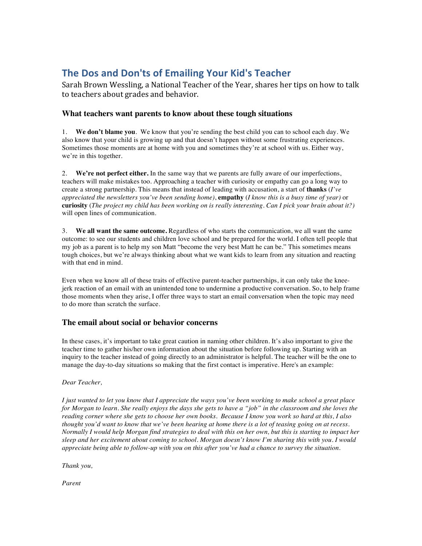# **The Dos and Don'ts of Emailing Your Kid's Teacher**

Sarah Brown Wessling, a National Teacher of the Year, shares her tips on how to talk to teachers about grades and behavior.

## **What teachers want parents to know about these tough situations**

1. **We don't blame you**. We know that you're sending the best child you can to school each day. We also know that your child is growing up and that doesn't happen without some frustrating experiences. Sometimes those moments are at home with you and sometimes they're at school with us. Either way, we're in this together.

2. **We're not perfect either.** In the same way that we parents are fully aware of our imperfections, teachers will make mistakes too. Approaching a teacher with curiosity or empathy can go a long way to create a strong partnership. This means that instead of leading with accusation, a start of **thanks** (*I've appreciated the newsletters you've been sending home)*, **empathy** (*I know this is a busy time of year)* or **curiosity** (*The project my child has been working on is really interesting. Can I pick your brain about it?)* will open lines of communication.

3. **We all want the same outcome.** Regardless of who starts the communication, we all want the same outcome: to see our students and children love school and be prepared for the world. I often tell people that my job as a parent is to help my son Matt "become the very best Matt he can be." This sometimes means tough choices, but we're always thinking about what we want kids to learn from any situation and reacting with that end in mind.

Even when we know all of these traits of effective parent-teacher partnerships, it can only take the kneejerk reaction of an email with an unintended tone to undermine a productive conversation. So, to help frame those moments when they arise, I offer three ways to start an email conversation when the topic may need to do more than scratch the surface.

### **The email about social or behavior concerns**

In these cases, it's important to take great caution in naming other children. It's also important to give the teacher time to gather his/her own information about the situation before following up. Starting with an inquiry to the teacher instead of going directly to an administrator is helpful. The teacher will be the one to manage the day-to-day situations so making that the first contact is imperative. Here's an example:

### *Dear Teacher,*

*I just wanted to let you know that I appreciate the ways you've been working to make school a great place for Morgan to learn. She really enjoys the days she gets to have a "job" in the classroom and she loves the reading corner where she gets to choose her own books. Because I know you work so hard at this, I also thought you'd want to know that we've been hearing at home there is a lot of teasing going on at recess. Normally I would help Morgan find strategies to deal with this on her own, but this is starting to impact her sleep and her excitement about coming to school. Morgan doesn't know I'm sharing this with you. I would appreciate being able to follow-up with you on this after you've had a chance to survey the situation.*

*Thank you,*

*Parent*